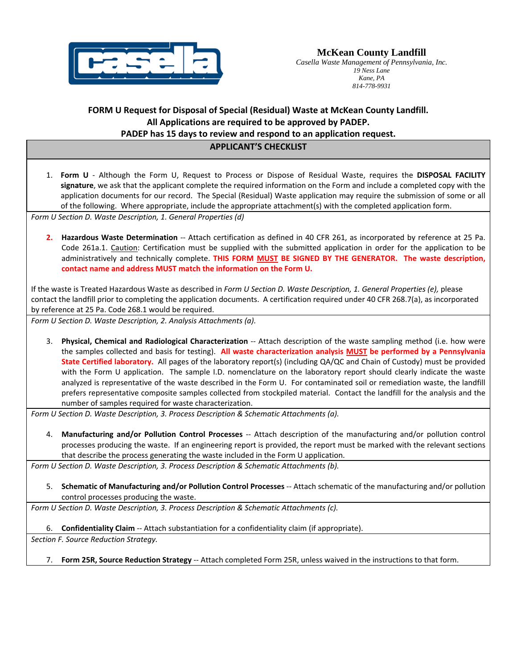

*Casella Waste Management of Pennsylvania, Inc. 19 Ness Lane Kane, PA 814-778-9931* 

## **FORM U Request for Disposal of Special (Residual) Waste at McKean County Landfill. All Applications are required to be approved by PADEP. PADEP has 15 days to review and respond to an application request.**

# **APPLICANT'S CHECKLIST**

| 1. Form U - Although the Form U, Request to Process or Dispose of Residual Waste, requires the DISPOSAL FACILITY<br>signature, we ask that the applicant complete the required information on the Form and include a completed copy with the<br>application documents for our record. The Special (Residual) Waste application may require the submission of some or all<br>of the following. Where appropriate, include the appropriate attachment(s) with the completed application form.                                                                                                                                                                                                                                                                                                                                     |
|---------------------------------------------------------------------------------------------------------------------------------------------------------------------------------------------------------------------------------------------------------------------------------------------------------------------------------------------------------------------------------------------------------------------------------------------------------------------------------------------------------------------------------------------------------------------------------------------------------------------------------------------------------------------------------------------------------------------------------------------------------------------------------------------------------------------------------|
| Form U Section D. Waste Description, 1. General Properties (d)                                                                                                                                                                                                                                                                                                                                                                                                                                                                                                                                                                                                                                                                                                                                                                  |
| 2. Hazardous Waste Determination -- Attach certification as defined in 40 CFR 261, as incorporated by reference at 25 Pa.<br>Code 261a.1. Caution: Certification must be supplied with the submitted application in order for the application to be<br>administratively and technically complete. THIS FORM MUST BE SIGNED BY THE GENERATOR. The waste description,<br>contact name and address MUST match the information on the Form U.                                                                                                                                                                                                                                                                                                                                                                                       |
| If the waste is Treated Hazardous Waste as described in Form U Section D. Waste Description, 1. General Properties (e), please<br>contact the landfill prior to completing the application documents. A certification required under 40 CFR 268.7(a), as incorporated<br>by reference at 25 Pa. Code 268.1 would be required.                                                                                                                                                                                                                                                                                                                                                                                                                                                                                                   |
| Form U Section D. Waste Description, 2. Analysis Attachments (a).                                                                                                                                                                                                                                                                                                                                                                                                                                                                                                                                                                                                                                                                                                                                                               |
| Physical, Chemical and Radiological Characterization -- Attach description of the waste sampling method (i.e. how were<br>3.<br>the samples collected and basis for testing). All waste characterization analysis MUST be performed by a Pennsylvania<br>State Certified laboratory. All pages of the laboratory report(s) (including QA/QC and Chain of Custody) must be provided<br>with the Form U application. The sample I.D. nomenclature on the laboratory report should clearly indicate the waste<br>analyzed is representative of the waste described in the Form U. For contaminated soil or remediation waste, the landfill<br>prefers representative composite samples collected from stockpiled material. Contact the landfill for the analysis and the<br>number of samples required for waste characterization. |
| Form U Section D. Waste Description, 3. Process Description & Schematic Attachments (a).                                                                                                                                                                                                                                                                                                                                                                                                                                                                                                                                                                                                                                                                                                                                        |
| Manufacturing and/or Pollution Control Processes -- Attach description of the manufacturing and/or pollution control<br>4.<br>processes producing the waste. If an engineering report is provided, the report must be marked with the relevant sections<br>that describe the process generating the waste included in the Form U application.                                                                                                                                                                                                                                                                                                                                                                                                                                                                                   |
| Form U Section D. Waste Description, 3. Process Description & Schematic Attachments (b).                                                                                                                                                                                                                                                                                                                                                                                                                                                                                                                                                                                                                                                                                                                                        |
| Schematic of Manufacturing and/or Pollution Control Processes -- Attach schematic of the manufacturing and/or pollution<br>5.<br>control processes producing the waste.                                                                                                                                                                                                                                                                                                                                                                                                                                                                                                                                                                                                                                                         |
| Form U Section D. Waste Description, 3. Process Description & Schematic Attachments (c).                                                                                                                                                                                                                                                                                                                                                                                                                                                                                                                                                                                                                                                                                                                                        |
| 6. Confidentiality Claim -- Attach substantiation for a confidentiality claim (if appropriate).<br>Section F. Source Reduction Strategy.                                                                                                                                                                                                                                                                                                                                                                                                                                                                                                                                                                                                                                                                                        |
|                                                                                                                                                                                                                                                                                                                                                                                                                                                                                                                                                                                                                                                                                                                                                                                                                                 |
| Form 25R, Source Reduction Strategy -- Attach completed Form 25R, unless waived in the instructions to that form.<br>7.                                                                                                                                                                                                                                                                                                                                                                                                                                                                                                                                                                                                                                                                                                         |
|                                                                                                                                                                                                                                                                                                                                                                                                                                                                                                                                                                                                                                                                                                                                                                                                                                 |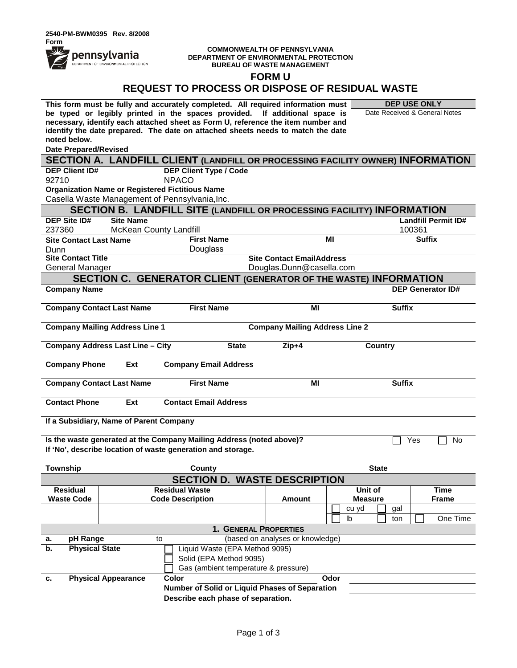#### **COMMONWEALTH OF PENNSYLVANIA DEPARTMENT OF ENVIRONMENTAL PROTECTION BUREAU OF WASTE MANAGEMENT**

**FORM U**

|                                                                                   |                                                                                | This form must be fully and accurately completed. All required information must                                 |                                  |       |                               | <b>DEP USE ONLY</b> |                            |
|-----------------------------------------------------------------------------------|--------------------------------------------------------------------------------|-----------------------------------------------------------------------------------------------------------------|----------------------------------|-------|-------------------------------|---------------------|----------------------------|
|                                                                                   |                                                                                | be typed or legibly printed in the spaces provided. If additional space is                                      |                                  |       | Date Received & General Notes |                     |                            |
|                                                                                   |                                                                                | necessary, identify each attached sheet as Form U, reference the item number and                                |                                  |       |                               |                     |                            |
| noted below.                                                                      |                                                                                | identify the date prepared. The date on attached sheets needs to match the date                                 |                                  |       |                               |                     |                            |
| <b>Date Prepared/Revised</b>                                                      |                                                                                |                                                                                                                 |                                  |       |                               |                     |                            |
|                                                                                   |                                                                                |                                                                                                                 |                                  |       |                               |                     |                            |
| <b>DEP Client ID#</b>                                                             |                                                                                | SECTION A. LANDFILL CLIENT (LANDFILL OR PROCESSING FACILITY OWNER) INFORMATION<br><b>DEP Client Type / Code</b> |                                  |       |                               |                     |                            |
| 92710                                                                             | <b>NPACO</b>                                                                   |                                                                                                                 |                                  |       |                               |                     |                            |
|                                                                                   | <b>Organization Name or Registered Fictitious Name</b>                         |                                                                                                                 |                                  |       |                               |                     |                            |
|                                                                                   | Casella Waste Management of Pennsylvania, Inc.                                 |                                                                                                                 |                                  |       |                               |                     |                            |
|                                                                                   |                                                                                | SECTION B. LANDFILL SITE (LANDFILL OR PROCESSING FACILITY) INFORMATION                                          |                                  |       |                               |                     |                            |
| <b>DEP Site ID#</b>                                                               | <b>Site Name</b>                                                               |                                                                                                                 |                                  |       |                               |                     | <b>Landfill Permit ID#</b> |
| 237360                                                                            | McKean County Landfill                                                         |                                                                                                                 |                                  |       |                               | 100361              |                            |
| <b>Site Contact Last Name</b>                                                     |                                                                                | <b>First Name</b>                                                                                               |                                  | ΜI    |                               | <b>Suffix</b>       |                            |
| Dunn                                                                              |                                                                                | Douglass                                                                                                        |                                  |       |                               |                     |                            |
| <b>Site Contact Title</b>                                                         |                                                                                |                                                                                                                 | <b>Site Contact EmailAddress</b> |       |                               |                     |                            |
| General Manager                                                                   |                                                                                |                                                                                                                 | Douglas.Dunn@casella.com         |       |                               |                     |                            |
|                                                                                   |                                                                                | <b>SECTION C. GENERATOR CLIENT (GENERATOR OF THE WASTE) INFORMATION</b>                                         |                                  |       |                               |                     |                            |
| <b>Company Name</b>                                                               |                                                                                |                                                                                                                 |                                  |       |                               |                     | <b>DEP Generator ID#</b>   |
|                                                                                   |                                                                                |                                                                                                                 |                                  |       |                               |                     |                            |
| <b>Company Contact Last Name</b>                                                  |                                                                                | <b>First Name</b>                                                                                               | ΜI                               |       | <b>Suffix</b>                 |                     |                            |
|                                                                                   | <b>Company Mailing Address Line 1</b><br><b>Company Mailing Address Line 2</b> |                                                                                                                 |                                  |       |                               |                     |                            |
|                                                                                   |                                                                                |                                                                                                                 |                                  |       |                               |                     |                            |
|                                                                                   | <b>Company Address Last Line - City</b>                                        | <b>State</b>                                                                                                    | $Zip+4$                          |       | <b>Country</b>                |                     |                            |
|                                                                                   |                                                                                |                                                                                                                 |                                  |       |                               |                     |                            |
| <b>Company Phone</b>                                                              | Ext                                                                            | <b>Company Email Address</b>                                                                                    |                                  |       |                               |                     |                            |
|                                                                                   |                                                                                |                                                                                                                 | MI                               |       |                               |                     |                            |
| <b>Company Contact Last Name</b>                                                  |                                                                                | <b>First Name</b>                                                                                               |                                  |       | <b>Suffix</b>                 |                     |                            |
| <b>Contact Phone</b>                                                              | Ext                                                                            | <b>Contact Email Address</b>                                                                                    |                                  |       |                               |                     |                            |
|                                                                                   |                                                                                |                                                                                                                 |                                  |       |                               |                     |                            |
|                                                                                   | If a Subsidiary, Name of Parent Company                                        |                                                                                                                 |                                  |       |                               |                     |                            |
|                                                                                   |                                                                                |                                                                                                                 |                                  |       |                               |                     |                            |
| Is the waste generated at the Company Mailing Address (noted above)?<br>Yes<br>No |                                                                                |                                                                                                                 |                                  |       |                               |                     |                            |
|                                                                                   | If 'No', describe location of waste generation and storage.                    |                                                                                                                 |                                  |       |                               |                     |                            |
| <b>Township</b>                                                                   |                                                                                | County                                                                                                          |                                  |       | <b>State</b>                  |                     |                            |
| <b>SECTION D. WASTE DESCRIPTION</b>                                               |                                                                                |                                                                                                                 |                                  |       |                               |                     |                            |
| <b>Residual</b>                                                                   | <b>Residual Waste</b>                                                          |                                                                                                                 |                                  |       | Unit of                       |                     | <b>Time</b>                |
| <b>Waste Code</b>                                                                 | <b>Code Description</b>                                                        |                                                                                                                 | <b>Amount</b>                    |       | <b>Measure</b>                |                     | <b>Frame</b>               |
|                                                                                   |                                                                                |                                                                                                                 |                                  | cu yd | gal                           |                     |                            |
|                                                                                   |                                                                                |                                                                                                                 |                                  | Ib    | ton                           |                     | One Time                   |
|                                                                                   |                                                                                |                                                                                                                 | 1. GENERAL PROPERTIES            |       |                               |                     |                            |
| pH Range<br>а.                                                                    |                                                                                |                                                                                                                 |                                  |       |                               |                     |                            |
| <b>Physical State</b><br>b.<br>Liquid Waste (EPA Method 9095)                     |                                                                                |                                                                                                                 |                                  |       |                               |                     |                            |
|                                                                                   | to                                                                             |                                                                                                                 | (based on analyses or knowledge) |       |                               |                     |                            |
|                                                                                   |                                                                                | Solid (EPA Method 9095)                                                                                         |                                  |       |                               |                     |                            |
|                                                                                   |                                                                                | Gas (ambient temperature & pressure)                                                                            |                                  |       |                               |                     |                            |
| <b>Physical Appearance</b><br>c.                                                  | Color                                                                          |                                                                                                                 |                                  | Odor  |                               |                     |                            |
|                                                                                   |                                                                                | Number of Solid or Liquid Phases of Separation                                                                  |                                  |       |                               |                     |                            |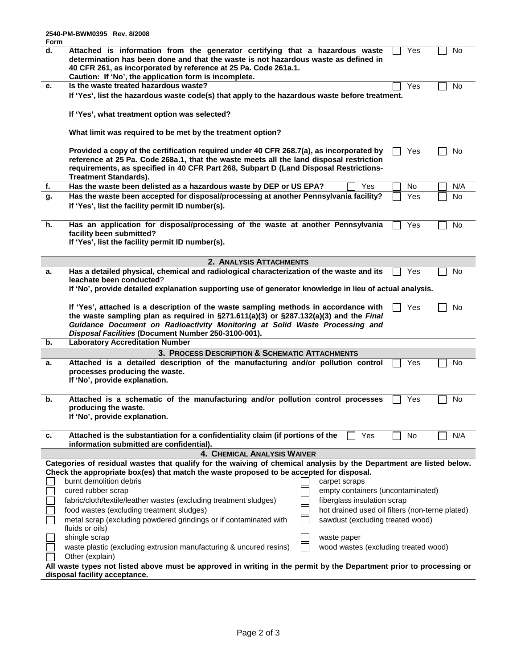| Form |                                                                                                                     |                                                 |     |     |
|------|---------------------------------------------------------------------------------------------------------------------|-------------------------------------------------|-----|-----|
| d.   | Attached is information from the generator certifying that a hazardous waste                                        |                                                 | Yes | No  |
|      | determination has been done and that the waste is not hazardous waste as defined in                                 |                                                 |     |     |
|      | 40 CFR 261, as incorporated by reference at 25 Pa. Code 261a.1.                                                     |                                                 |     |     |
|      | Caution: If 'No', the application form is incomplete.                                                               |                                                 |     |     |
| е.   | Is the waste treated hazardous waste?                                                                               |                                                 | Yes | No  |
|      |                                                                                                                     |                                                 |     |     |
|      | If 'Yes', list the hazardous waste code(s) that apply to the hazardous waste before treatment.                      |                                                 |     |     |
|      |                                                                                                                     |                                                 |     |     |
|      | If 'Yes', what treatment option was selected?                                                                       |                                                 |     |     |
|      |                                                                                                                     |                                                 |     |     |
|      | What limit was required to be met by the treatment option?                                                          |                                                 |     |     |
|      |                                                                                                                     |                                                 |     |     |
|      | Provided a copy of the certification required under 40 CFR 268.7(a), as incorporated by                             |                                                 | Yes | No  |
|      | reference at 25 Pa. Code 268a.1, that the waste meets all the land disposal restriction                             |                                                 |     |     |
|      | requirements, as specified in 40 CFR Part 268, Subpart D (Land Disposal Restrictions-                               |                                                 |     |     |
|      | <b>Treatment Standards).</b>                                                                                        |                                                 |     |     |
| f.   | Has the waste been delisted as a hazardous waste by DEP or US EPA?                                                  | Yes                                             | No  | N/A |
| g.   | Has the waste been accepted for disposal/processing at another Pennsylvania facility?                               |                                                 | Yes | No  |
|      | If 'Yes', list the facility permit ID number(s).                                                                    |                                                 |     |     |
|      |                                                                                                                     |                                                 |     |     |
| h.   | Has an application for disposal/processing of the waste at another Pennsylvania                                     |                                                 | Yes | No  |
|      | facility been submitted?                                                                                            |                                                 |     |     |
|      | If 'Yes', list the facility permit ID number(s).                                                                    |                                                 |     |     |
|      |                                                                                                                     |                                                 |     |     |
|      |                                                                                                                     |                                                 |     |     |
|      | 2. ANALYSIS ATTACHMENTS                                                                                             |                                                 |     |     |
| а.   | Has a detailed physical, chemical and radiological characterization of the waste and its                            |                                                 | Yes | No  |
|      | leachate been conducted?                                                                                            |                                                 |     |     |
|      | If 'No', provide detailed explanation supporting use of generator knowledge in lieu of actual analysis.             |                                                 |     |     |
|      |                                                                                                                     |                                                 |     |     |
|      | If 'Yes', attached is a description of the waste sampling methods in accordance with                                |                                                 | Yes | No  |
|      | the waste sampling plan as required in $\S 271.611(a)(3)$ or $\S 287.132(a)(3)$ and the Final                       |                                                 |     |     |
|      | Guidance Document on Radioactivity Monitoring at Solid Waste Processing and                                         |                                                 |     |     |
|      | Disposal Facilities (Document Number 250-3100-001).                                                                 |                                                 |     |     |
| b.   | <b>Laboratory Accreditation Number</b>                                                                              |                                                 |     |     |
|      | 3. PROCESS DESCRIPTION & SCHEMATIC ATTACHMENTS                                                                      |                                                 |     |     |
| а.   | Attached is a detailed description of the manufacturing and/or pollution control                                    |                                                 | Yes | No  |
|      | processes producing the waste.                                                                                      |                                                 |     |     |
|      | If 'No', provide explanation.                                                                                       |                                                 |     |     |
|      |                                                                                                                     |                                                 |     |     |
| b.   | Attached is a schematic of the manufacturing and/or pollution control processes                                     |                                                 | Yes | No  |
|      | producing the waste.                                                                                                |                                                 |     |     |
|      | If 'No', provide explanation.                                                                                       |                                                 |     |     |
|      |                                                                                                                     |                                                 |     |     |
| c.   | Attached is the substantiation for a confidentiality claim (if portions of the                                      | Yes                                             | No  | N/A |
|      | information submitted are confidential).                                                                            |                                                 |     |     |
|      | 4. CHEMICAL ANALYSIS WAIVER                                                                                         |                                                 |     |     |
|      | Categories of residual wastes that qualify for the waiving of chemical analysis by the Department are listed below. |                                                 |     |     |
|      | Check the appropriate box(es) that match the waste proposed to be accepted for disposal.                            |                                                 |     |     |
|      | burnt demolition debris                                                                                             | carpet scraps                                   |     |     |
|      | cured rubber scrap                                                                                                  | empty containers (uncontaminated)               |     |     |
|      |                                                                                                                     |                                                 |     |     |
|      | fabric/cloth/textile/leather wastes (excluding treatment sludges)                                                   | fiberglass insulation scrap                     |     |     |
|      | food wastes (excluding treatment sludges)                                                                           | hot drained used oil filters (non-terne plated) |     |     |
|      | metal scrap (excluding powdered grindings or if contaminated with                                                   | sawdust (excluding treated wood)                |     |     |
|      | fluids or oils)                                                                                                     |                                                 |     |     |
|      | shingle scrap                                                                                                       | waste paper                                     |     |     |
|      | waste plastic (excluding extrusion manufacturing & uncured resins)                                                  | wood wastes (excluding treated wood)            |     |     |
|      | Other (explain)                                                                                                     |                                                 |     |     |
|      | All waste types not listed above must be approved in writing in the permit by the Department prior to processing or |                                                 |     |     |
|      | disposal facility acceptance.                                                                                       |                                                 |     |     |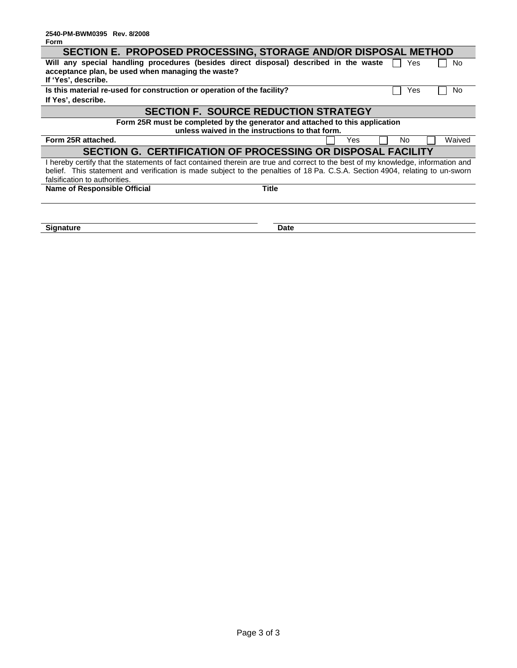| SECTION E. PROPOSED PROCESSING, STORAGE AND/OR DISPOSAL METHOD                                                                   |              |           |        |  |  |  |  |
|----------------------------------------------------------------------------------------------------------------------------------|--------------|-----------|--------|--|--|--|--|
| Will any special handling procedures (besides direct disposal) described in the waste                                            |              | Yes       | No.    |  |  |  |  |
| acceptance plan, be used when managing the waste?                                                                                |              |           |        |  |  |  |  |
| If 'Yes', describe.                                                                                                              |              |           |        |  |  |  |  |
| Is this material re-used for construction or operation of the facility?                                                          |              | Yes       | No.    |  |  |  |  |
| If Yes', describe.                                                                                                               |              |           |        |  |  |  |  |
| <b>SECTION F. SOURCE REDUCTION STRATEGY</b>                                                                                      |              |           |        |  |  |  |  |
| Form 25R must be completed by the generator and attached to this application                                                     |              |           |        |  |  |  |  |
| unless waived in the instructions to that form.                                                                                  |              |           |        |  |  |  |  |
| Form 25R attached.                                                                                                               |              | No<br>Yes | Waived |  |  |  |  |
| SECTION G. CERTIFICATION OF PROCESSING OR DISPOSAL FACILITY                                                                      |              |           |        |  |  |  |  |
| I hereby certify that the statements of fact contained therein are true and correct to the best of my knowledge, information and |              |           |        |  |  |  |  |
| belief. This statement and verification is made subject to the penalties of 18 Pa. C.S.A. Section 4904, relating to un-sworn     |              |           |        |  |  |  |  |
| falsification to authorities.                                                                                                    |              |           |        |  |  |  |  |
| <b>Name of Responsible Official</b>                                                                                              | <b>Title</b> |           |        |  |  |  |  |
|                                                                                                                                  |              |           |        |  |  |  |  |
|                                                                                                                                  |              |           |        |  |  |  |  |